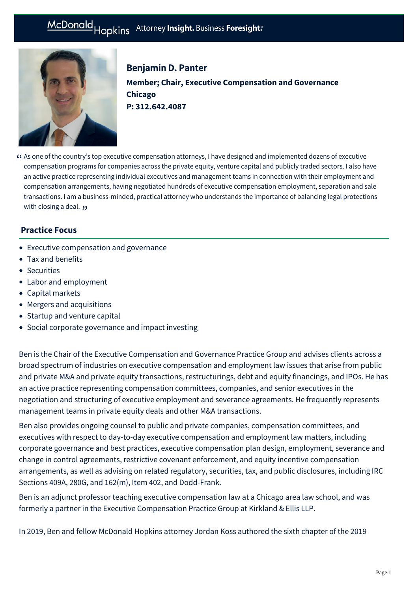

Benjamin D. Panter **Member; Chair, Executive Compensation and Governance Chicago P: [312.642.4087](tel:312.642.4087)**

As one of the country's top executive compensation attorneys, I have designed and implemented dozens of executive " compensation programs for companies across the private equity, venture capital and publicly traded sectors. I also have an active practice representing individual executives and management teams in connection with their employment and compensation arrangements, having negotiated hundreds of executive compensation employment, separation and sale transactions. I am a business-minded, practical attorney who understands the importance of balancing legal protections with closing a deal.  $\bm{\mathfrak{y}}$ 

# **Practice Focus**

- [Executive compensation and governance](https://mcdonaldhopkins.com/Expertise/Tax-and-benefits/Executive-compensation-and-governance)
- [Tax and benefits](https://mcdonaldhopkins.com/Expertise/Tax-and-benefits)
- [Securities](https://mcdonaldhopkins.com/Expertise/Business-counseling/Securities)
- [Labor and employment](https://mcdonaldhopkins.com/Expertise/Labor-and-employment)
- [Capital markets](https://mcdonaldhopkins.com/Expertise/Finance/Capital-markets)
- [Mergers and acquisitions](https://mcdonaldhopkins.com/Expertise/Mergers-and-acquisitions)
- [Startup and venture capital](https://mcdonaldhopkins.com/Expertise/Business-counseling/Startup-and-venture-capital)
- [Social corporate governance and impact investing](https://mcdonaldhopkins.com/Expertise/Business-counseling/Social-Corporate-Governance-and-Impact-Investing)

Ben is the Chair of the Executive Compensation and Governance Practice Group and advises clients across a broad spectrum of industries on executive compensation and employment law issues that arise from public and private M&A and private equity transactions, restructurings, debt and equity financings, and IPOs. He has an active practice representing compensation committees, companies, and senior executives in the negotiation and structuring of executive employment and severance agreements. He frequently represents management teams in private equity deals and other M&A transactions.

Ben also provides ongoing counsel to public and private companies, compensation committees, and executives with respect to day-to-day executive compensation and employment law matters, including corporate governance and best practices, executive compensation plan design, employment, severance and change in control agreements, restrictive covenant enforcement, and equity incentive compensation arrangements, as well as advising on related regulatory, securities, tax, and public disclosures, including IRC Sections 409A, 280G, and 162(m), Item 402, and Dodd-Frank.

Ben is an adjunct professor teaching executive compensation law at a Chicago area law school, and was formerly a partner in the Executive Compensation Practice Group at Kirkland & Ellis LLP.

In 2019, Ben and fellow McDonald Hopkins attorney Jordan Koss authored the sixth chapter of the 2019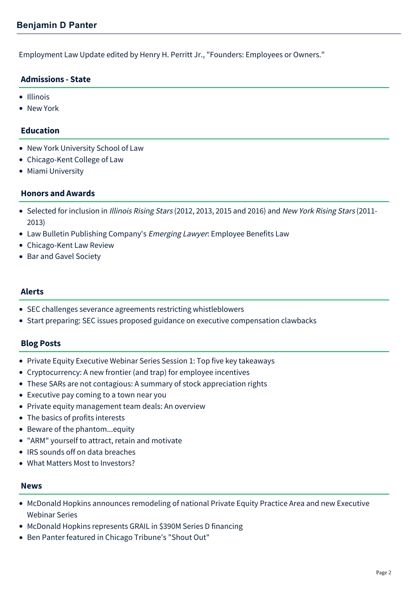Employment Law Update edited by Henry H. Perritt Jr., "Founders: Employees or Owners."

## **Admissions - State**

- Illinois
- New York

### **Education**

- New York University School of Law
- Chicago-Kent College of Law
- Miami University

### **Honors and Awards**

- Selected for inclusion in Illinois Rising Stars (2012, 2013, 2015 and 2016) and New York Rising Stars (2011-2013)
- Law Bulletin Publishing Company's Emerging Lawyer: Employee Benefits Law
- Chicago-Kent Law Review
- Bar and Gavel Society

### **Alerts**

- [SEC challenges severance agreements restricting whistleblowers](https://mcdonaldhopkins.com/Insights/September-2016/SEC-challenges-severance-agreements-restricting-wh)
- [Start preparing: SEC issues proposed guidance on executive compensation clawbacks](https://mcdonaldhopkins.com/Insights/July-2015/Executive-Compensation-and-Governance-Alert-Start)

### **Blog Posts**

- [Private Equity Executive Webinar Series Session 1: Top five key takeaways](https://mcdonaldhopkins.com/Insights/March-2022/Top-5-key-takeaways-Private-Equity-Executive-Webin)
- [Cryptocurrency: A new frontier \(and trap\) for employee incentives](https://mcdonaldhopkins.com/Insights/September-2018/Cryptocurrency-a-new-frontier-and-trap-for-employe)
- [These SARs are not contagious: A summary of stock appreciation rights](https://mcdonaldhopkins.com/Insights/May-2017/These-SARs-are-not-contagious-A-summary-of-stock-a)
- [Executive pay coming to a town near you](https://mcdonaldhopkins.com/Insights/April-2017/Executive-pay-coming-to-a-town-near-you)
- [Private equity management team deals: An overview](https://mcdonaldhopkins.com/Insights/December-2016/Private-equity-management-team-deals-An-overview)
- [The basics of profits interests](https://mcdonaldhopkins.com/Insights/November-2016/The-basics-of-profits-interests)
- [Beware of the phantom...equity](https://mcdonaldhopkins.com/Insights/October-2016/Beware-of-the-phantom-equity)
- ["ARM" yourself to attract, retain and motivate](https://mcdonaldhopkins.com/Insights/October-2016/ARM-yourself-to-attract-retrain-and-motivate)
- [IRS sounds off on data breaches](https://mcdonaldhopkins.com/Insights/September-2015/IRS-sounds-off-on-data-breaches)
- [What Matters Most to Investors?](https://mcdonaldhopkins.com/Insights/Febrary-2015/What-Matters-Most-to-Investors)

#### **News**

- [McDonald Hopkins announces remodeling of national Private Equity Practice Area and new Executive](https://mcdonaldhopkins.com/Insights/March-2022/McDonald-Hopkins-announces-remodeling-of-national) Webinar Series
- [McDonald Hopkins represents GRAIL in \\$390M Series D financing](https://mcdonaldhopkins.com/Insights/May-2020/McDonald-Hopkins-represents-GRAIL-in-390M-Series-D)
- [Ben Panter featured in Chicago Tribune's "Shout Out"](https://mcdonaldhopkins.com/Insights/December-2019/Ben-Panter-featured-in-Chicago-Tribune)